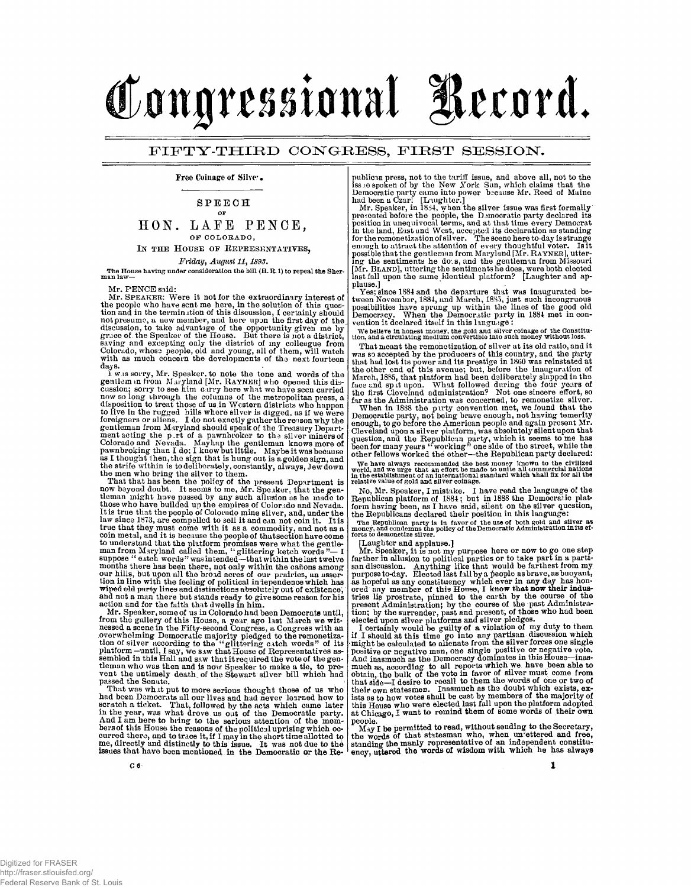# Congressional Record.

## **FIFTY-THIR D CONGRESS , firs t SESSION .**

Free Coinage of Silver •

### **SPEEC H OF**

# **HON. LAF E PENGE, OF COLORADO , IN THE HOUSE OF REPRESENTATIVES,**

# *FridayI August 11,1893.*

The House having under consideration the bill (H. R. 1) to repeal the Sherman law —

Mr. PENCE said:

Mr. SPEAKER: Were it not for the extraordinary interest of<br>the poople who have sent me here, in the solution of this ques-<br>tion and in the termination of this discussion, I certainly should<br>not presume, a new member, and h days.

I w.s sorry, Mr. Speaker, to note the tone and words of the<br>gentlem in from Maryland [Mr. RAYNER] who opened this dis-<br>cussion; sorry to see him carry here what we have scon carried<br>now so long through the columns of the

That that has been the policy of the present Department is<br>now beyond doubt. It seems to me, Mr. Speaker, that the gen-<br>tleman might have passed by any such allusion as he made to<br>those who have builded up the empires of C coin metal, and it is because the people of thut<br>section have come to understand that the platform promises were what the gent<br>leman from Maryland called them, "glittering ketch words"— I<br>suppose "catch words" was intende and not a man there but stands ready to give some reason for his action and for the faith that dwells in him.

Mr. Speaker, some of us in Colorado had been Democrats until,<br>from the gallery of this House, a year ago last March we wit-<br>nessed a scene in the Fifty-second Congress, a Congress with an<br>overwhelming Democratic majority p

That was wh it put to more serious thought those of us who had been Democrats all our lives and had never learned how to seratch a ticket. That, followed by the acts which came later in the year, was what drove us out of

publican press, not to the tariff issue, and above all, not to the issue spoken of by the New York Sun, which claims that the Democratic party came into power because Mr. Reed of Maine had been a Czar! [Lughter.] Mr. Speak possible that the gentleman from Maryland [Mr. RAYNER], uttering the sentiments he do s, and the gentleman from Missouri<br>[Mr. BLAND], uttering the sentiments he does, were both elected<br>[Mr. BLAND], uttering the sentiments plause.]

Yes; since 1884 and the departure that was inaugurated be-<br>tween November, 1884, and March, 1885, just such incongruous<br>possibilities have sprung up within the lines of the good old<br>Democracy. When the Democratic party in

**We believe in honest money, the gold and silver coinage of the Constitu-tion, and a circulating medium convertible into such money without loss.** 

That meant the remonotization of silver at its old ratio, and it<br>was so accepted by the producers of this country, and the party<br>that had lost its power and its prestige in 1860 was reinstated at<br>the other end of this ave

**"VYe have always recommended the best money known to the civilized world, and we urge that an effort be made to unite all commercial nations in the establishment of an international standard which \*hall fix for all the relative value or gold and silver coinage.** 

No, Mr. Speaker, I mistake. I have read the language of the Republican platform of 1884 ; but in 1888 the Democratic plat-form having been, as I have said, silent on the silver question, the Republicans declared their position in this language:

**The Republican party is in favor of the use of both gold and silver as money, and condemns the policy of the Democratic Administration in its ef-forts to demonetize silver,** 

[Laughter and applause.]

Mr. Speaker, it is not my purpose here or now to go one step<br>farther in allusion to political parties or to take part in a parti-<br>san discussion. Anything like that would be farthest from my<br>purpose to-day. Elected last f tries lie prostrate, pinned to the earth by the course of the present Administration; by the course of the past Administration; by the surrender, past and present, of those who had been elected upon silver platforms and si

I certainly would be guilty of a violation of my duty to them<br>if I should at this time go into any partisan discussion which<br>might be calculated to allenats from the silver forces one single<br>positive or negative man, one p

 $M_{3}y$  I be permitted to read, without sending to the Secretary, the words of that statesman who, when un'ettered and free, standing the menty epresentative of an independent constitutionly the ency, uttered the words of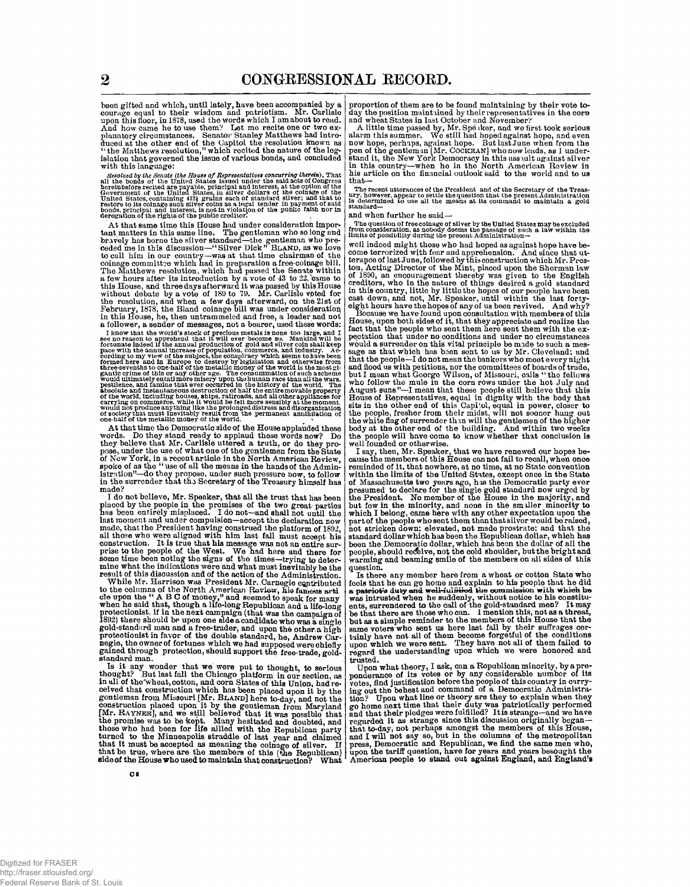been gifted and which, until lately, have been accompanied by a courage equal to their wisdom and patriotism. Mr. Carlisle upon this floor, in 1878, used the words which I am about to read.<br>And how came he to use them? Let planatory circumstances. Senator Stanley Matthews had introduced at the other end of the Capitol the resolution<br>the matthews resolution," which recited the nature of the log-<br>"the Matthews resolution," which recited the na with this language:

Hesolved by the Senate (the House of Representatives concurring therein), That<br>all the bonds of the United States issued under the said acts of Congress<br>the fact in the United States, in sliver dollars of the option of th

At that same time this House had under consideration important matters in this same line. The gentleman who so long and<br>bravely has borne the silver standard—the gentleman who pre-<br>ceded me in this discussion—"Silver Dick" BLAND, as we love<br>to call him in our country—was at thut the resolution, and when a few days afterward, on the 21st of February, 1878, the Bland coinage bill was under consideration in this House, he, then untrammeled and free, a leader and not; a follower, a sender of messages, not a bearer, used these words:

I know that the world's stock of precious metals is none too large, and I know that the uncerase no reason to apprehend that if will ever become so. Mankind will be forcunate indeed if the annual production of gold and sil

At that time the Democratic side of the House applauded these<br>words. Do they stand ready to applaud these words now? Do<br>they believe that Mr. Carlisle uttered a truth, or do they pro-<br>pose, under the use of what one of the

I do not believe, Mr. Speaker, that all the trust that has been placed by the people in the promises of the two great parties<br>has been entirely misplaced. I do not-and shall not until the has been entirely misplaced. I do not--and shall not until the last moment and under compulsion--accept the declaration now made, that the President having construed the platform of 1892, all those who were aligned with hi result of this discussion and of the action of the Administration.

While Mr. Harrison was President Mr. Carnegie contributed<br>to the columns of the North American Roview, his famous article upon the "A B C of money." and seemed to speak for many<br>when he said that, though a life-long Republ standard man.

Is it any wonder that we were put to thought, to serious<br>thought? But last fall the Chicago platform in our section, as<br>in all of the wheat, cotton, and corn States of this Union, had re-<br>ceived that construction which ha that be true, where are the members of this (the Republican) side of the House who used to maintain that construction? What

proportion of them are to be found maintaining by their vote to-

day the position maintained by their representatives in the corn<br>and wheat States in last October and November?<br>A little time passed by, Mr. Speaker, and we first took serious<br>alarm this summer. We still had hoped against

The recent utterances of the Prcsident and of the Secretary of the Treasury, however, appear to settle the question that the present Administration is determined to use all the means at its command to maintain a gold stand

and when further he said—

The question of free coinage of silver by the United States may be excluded<br>from consideration, as nobody deems the passage of such a law within the<br>limits of possibility during the present Administration—

well indeed might those who had hoped as against hope have be-<br>come terrorized with fear and apprehension. And since that ut-<br>terance of last June, followed by this construction which Mr. Pres-<br>ton, Acting Director of the

Because we have found upon consultation with members of this House, upon both sides of it, that they appreciate and realize the fact that the people who sent them here sent them with the expectation that under no conditio

I say, then, Mr. Speaker, that we have renewed our hopes bewere tour country the members of this House cause the members of this House cannot fail to recall, when once cause the members of this House cannot fail to recall, when once reminded of it, that nowhere, at no time, at no State convention<br>within the limits of the United States, except once in the State<br>of Massachusetts two years ago, has the Democratic party ever<br>presumed to declare for the si but fow in the minority, and none in the smaller minority to which I belong, came here with any other expectation upon the part of the people who sent them than that silver would be raised, not attricken down; elevated, no been the Democratic dollar, which has been the dollar of all the<br>people, should receive, not the cold shoulder, but the bright and<br>warming and beaming smile of the members on all sides of this question.<br>Ts there any member here from a wheat or cotton State who

Is there any member here from a wheat or cotton State who<br>fools that he can go home and explain to his people that he did particle and a patriotic auty and well-full illed the commission with which he<br>was intrusted when h

Upon what theory, 1 ask, can a Republican minority, by a pre-<br>ponderance of its votes or by any considerable number of its<br>votes, find justification before the people of this country in curry-<br>ing out the behest and comman that to-day, not perhaps amongst the members of this House, and I will not say so, but in the columns of the metropolitan press, Democratic and Republican, we find the same men who, upon the tariff question, have for years and years besought the American people to stand out against England, and England's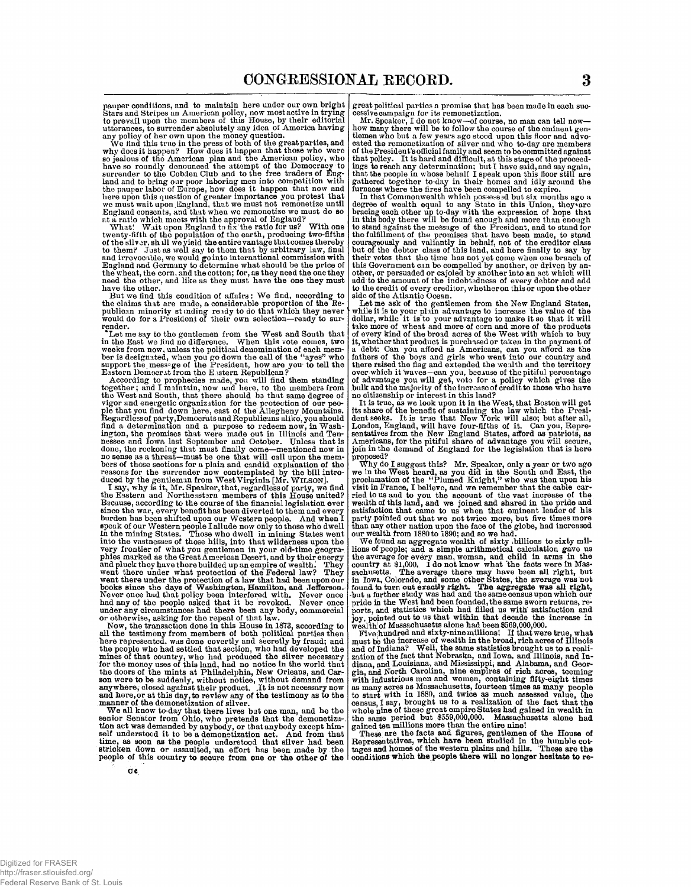pauper conditions, and to maintain here under our own bright Stars and Stripes an American policy, now most active in trying to prevail upon the members of this House, by their editorial utterances, to surrender absolutely any idea of America having

any policy of her own upon the money question.<br>We find this true in the press of both of the great parties, and<br>why does it happen? How does it happen that those who were<br>so jealous of the American plan and the American po here upon this question of greater importance you protest that we must wait upon England, that we must not remonetize until

we must wait upon England, that we must not remonetize until<br>England consonts, and that when we remonetize we must do so<br>and consonts, and that when we remonetize we must do so<br>at a ratio which meets with the approval of E

But we find this condition of affairs: We find, according to the claims that are made, a considerable proportion of the Re-publican minority stmding re ady to do that which they never would do for a President of their own selection—ready to surrender.

Let me say to the gentlemen from the West and South that<br>in the East we find no difference. When this vote comes, two<br>weeks from now, unless the political denomination of each member is designated, when you go down the call of the "ayes" who<br>support the message of the President, how are you to tell the<br>Eastern Democrat from the Eastern Republican?

According to prophecies made, you will find them standing together; and I maintain, now and here, to the members from the West and South, that there should be that same degree of vigor and energetic organization for the protection of our people ple hat you find down here, east of the Allegheny Mountains. Regardlessof party,Democrats and R no sense as a threat—must be one that will call upon the mem-bers of those sections for a plain and candid explanation of the reasons for the surrender now contemplated by the bill intro-duced by the gentleman from West Virginia [Mr. WILSON].

I say, why is it, Mr. Speaker, that, regardless of party, we find the Eastern and Northeastern members of this House united?<br>Because, according to the course of the financial legislation ever since the war, every benefit has been diverted to them and every<br>burden has been shifted upon ou

Now, the transaction done in this House in 1873, according to<br>all the testimony from members of both political parties then<br>here represented, was done ocvertly and secretly by fraud; and<br>the people who had settled that sec

We all know to-day that there lives but one man, and he the<br>senior Senator from Ohio, who pretends that the demonetiza-<br>tion act was demanded by anybody, or that anybody except him-<br>self understood it to be a demonetizatio

great political parties a promise that has been made in each successive campaign for its remonetization.<br>Mr. Speaker, I do not know-of course, no man can tell now-<br>how many there will be to follow the course of the ominent

In that Commonwealth which possessed but six months ago a degree of wealth equal to any State in this Union, they are bracing each other up to-day with the expression of hope that in this body there will be found enough an

of the products and more of corn and more of the products of every kind of the broad acres of the West with which to buy it, whether that product is purchased or taken in the payment of<br>a debt. Can you afford as Americans, can you afford as the<br>fathers of the boys and girls who went into our country and<br>there raised the flag and extended th no citizenship or interest in this land?

It is true, as we look upon it in the West, that Boston will get<br>its share of the benefit of sustaining the law which the Presi-<br>dent seeks. It is true that New York will also; but after all,<br>London, Eugland, will have fou sentatives from the New England States, afford as patriots, as Americans, for the pitiful share of advantage you will secure, join in the demand of England for the legislation that is here

proposed?<br>Why do I suggest this? Mr. Speaker, only a year or two ago<br>we in the West heard, as you did in the South and East, the<br>proclamation of the "Plumed Knight," who was then upon his<br>visit in France. I believe, and we

We found an aggregate wealth of sixty billions to sixty mil-<br>lions of people; and a simple arithmetical calculation gave us<br>the average for every man, woman, and child in arms in the<br>country at \$1,000. I do not know what t  $w$ ealth of Massachusetts alone had been \$569,000,000.

Five **hundred** and sixty-nine millions! If that were true, **what**  must be the increase of wealth in the broad, rich acres of Illinois<br>and of Indiana? Well, the same statistics brought us to a reali-<br>azion of the fact that Nebraska, and Iowa, and Illinois, and In-<br>diana, and Louisiana, an

These are the facts and figures, gentlemen of the House of Representatives, which have been studied in the humble cottages and homes of the western plains and hills. These are the conditions which the people there will no